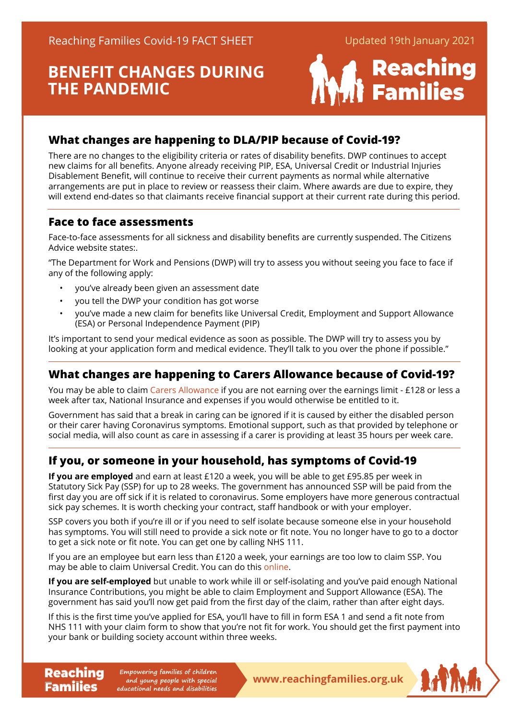# **BENEFIT CHANGES DURING THE PANDEMIC**



# **What changes are happening to DLA/PIP because of Covid-19?**

There are no changes to the eligibility criteria or rates of disability benefits. DWP continues to accept new claims for all benefits. Anyone already receiving PIP, ESA, Universal Credit or Industrial Injuries Disablement Benefit, will continue to receive their current payments as normal while alternative arrangements are put in place to review or reassess their claim. Where awards are due to expire, they will extend end-dates so that claimants receive financial support at their current rate during this period.

# **Face to face assessments**

Face-to-face assessments for all sickness and disability benefits are currently suspended. The Citizens Advice website states:.

"The Department for Work and Pensions (DWP) will try to assess you without seeing you face to face if any of the following apply:

- you've already been given an assessment date
- you tell the DWP your condition has got worse
- you've made a new claim for benefits like Universal Credit, Employment and Support Allowance (ESA) or Personal Independence Payment (PIP)

It's important to send your medical evidence as soon as possible. The DWP will try to assess you by looking at your application form and medical evidence. They'll talk to you over the phone if possible."

# **What changes are happening to Carers Allowance because of Covid-19?**

You may be able to claim [Carers Allowanc](https://contact.org.uk/advice-and-support/benefits-financial-help/benefits-and-tax-credits/carers-allowance/)e if you are not earning over the earnings limit - £128 or less a week after tax, National Insurance and expenses if you would otherwise be entitled to it.

Government has said that a break in caring can be ignored if it is caused by either the disabled person or their carer having Coronavirus symptoms. Emotional support, such as that provided by telephone or social media, will also count as care in assessing if a carer is providing at least 35 hours per week care.

# **If you, or someone in your household, has symptoms of Covid-19**

**If you are employed** and earn at least £120 a week, you will be able to get £95.85 per week in Statutory Sick Pay (SSP) for up to 28 weeks. The government has announced SSP will be paid from the first day you are off sick if it is related to coronavirus. Some employers have more generous contractual sick pay schemes. It is worth checking your contract, staff handbook or with your employer.

SSP covers you both if you're ill or if you need to self isolate because someone else in your household has symptoms. You will still need to provide a sick note or fit note. You no longer have to go to a doctor to get a sick note or fit note. You can get one by calling NHS 111.

If you are an employee but earn less than £120 a week, your earnings are too low to claim SSP. You may be able to claim Universal Credit. You can do this [online](https://www.citizensadvice.org.uk/benefits/universal-credit/).

**If you are self-employed** but unable to work while ill or self-isolating and you've paid enough National Insurance Contributions, you might be able to claim Employment and Support Allowance (ESA). The government has said you'll now get paid from the first day of the claim, rather than after eight days.

If this is the first time you've applied for ESA, you'll have to fill in form ESA 1 and send a fit note from NHS 111 with your claim form to show that you're not fit for work. You should get the first payment into your bank or building society account within three weeks.

**Reaching** Empowering families of children<br> **Reaching Empone and young people with special**<br> **WWW.reachingfamilies.org.uk Empowering families of children and young people with special educational needs and disabilities**

**Families** 

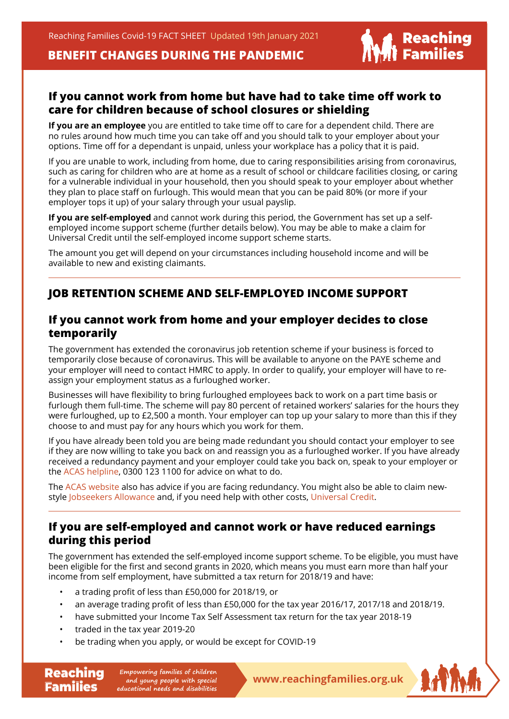# **BENEFIT CHANGES DURING THE PANDEMIC**



#### **If you cannot work from home but have had to take time off work to care for children because of school closures or shielding**

**If you are an employee** you are entitled to take time off to care for a dependent child. There are no rules around how much time you can take off and you should talk to your employer about your options. Time off for a dependant is unpaid, unless your workplace has a policy that it is paid.

If you are unable to work, including from home, due to caring responsibilities arising from coronavirus, such as caring for children who are at home as a result of school or childcare facilities closing, or caring for a vulnerable individual in your household, then you should speak to your employer about whether they plan to place staff on furlough. This would mean that you can be paid 80% (or more if your employer tops it up) of your salary through your usual payslip.

**If you are self-employed** and cannot work during this period, the Government has set up a selfemployed income support scheme (further details below). You may be able to make a claim for Universal Credit until the self-employed income support scheme starts.

The amount you get will depend on your circumstances including household income and will be available to new and existing claimants.

#### **JOB RETENTION SCHEME AND SELF-EMPLOYED INCOME SUPPORT**

#### **If you cannot work from home and your employer decides to close temporarily**

The government has extended the coronavirus job retention scheme if your business is forced to temporarily close because of coronavirus. This will be available to anyone on the PAYE scheme and your employer will need to contact HMRC to apply. In order to qualify, your employer will have to reassign your employment status as a furloughed worker.

Businesses will have flexibility to bring furloughed employees back to work on a part time basis or furlough them full-time. The scheme will pay 80 percent of retained workers' salaries for the hours they were furloughed, up to £2,500 a month. Your employer can top up your salary to more than this if they choose to and must pay for any hours which you work for them.

If you have already been told you are being made redundant you should contact your employer to see if they are now willing to take you back on and reassign you as a furloughed worker. If you have already received a redundancy payment and your employer could take you back on, speak to your employer or the [ACAS helplin](https://www.acas.org.uk/)e, 0300 123 1100 for advice on what to do.

The [ACAS websit](https://www.acas.org.uk/)e also has advice if you are facing redundancy. You might also be able to claim new-style [Jobseekers Allowanc](https://www.gov.uk/jobseekers-allowance)e and, if you need help with other costs, [Universal Credi](https://www.gov.uk/universal-credit/how-to-claim)t.

#### **If you are self-employed and cannot work or have reduced earnings during this period**

The government has extended the self-employed income support scheme. To be eligible, you must have been eligible for the first and second grants in 2020, which means you must earn more than half your income from self employment, have submitted a tax return for 2018/19 and have:

- a trading profit of less than £50,000 for 2018/19, or
- an average trading profit of less than £50,000 for the tax year 2016/17, 2017/18 and 2018/19.
- have submitted your Income Tax Self Assessment tax return for the tax year 2018-19
- traded in the tax year 2019-20

Families

• be trading when you apply, or would be except for COVID-19

**Reaching** Empowering families of children<br> **Reachingfamilies.org.uk**<br> **Reachingfamilies.org.uk Empowering families of children and young people with special educational needs and disabilities**